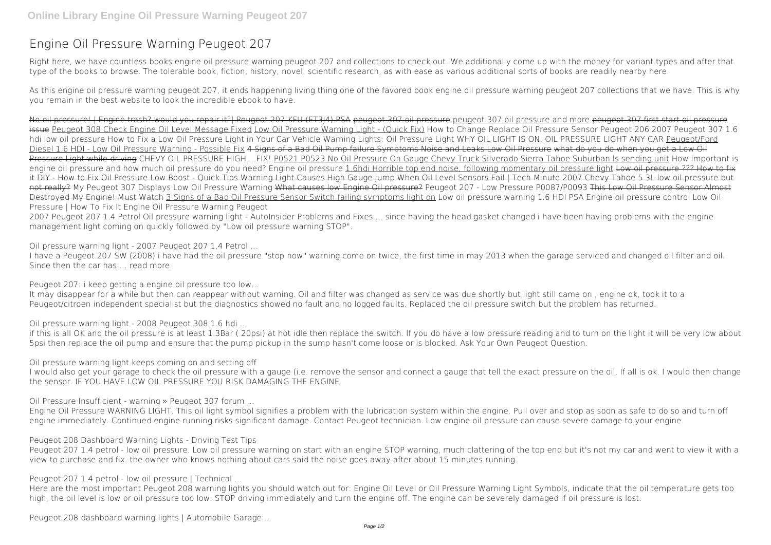## **Engine Oil Pressure Warning Peugeot 207**

Right here, we have countless books **engine oil pressure warning peugeot 207** and collections to check out. We additionally come up with the money for variant types and after that type of the books to browse. The tolerable book, fiction, history, novel, scientific research, as with ease as various additional sorts of books are readily nearby here.

As this engine oil pressure warning peugeot 207, it ends happening living thing one of the favored book engine oil pressure warning peugeot 207 collections that we have. This is why you remain in the best website to look the incredible ebook to have.

No oil pressure! | Engine trash? would you repair it?| Peugeot 207 KFU (ET3J4) PSA peugeot 307 oil pressure peugeot and more peugeot 307 first start oil pressure issue Peugeot 308 Check Engine Oil Level Message Fixed Low Oil Pressure Warning Light - (Quick Fix) *How to Change Replace Oil Pressure Sensor Peugeot 206* **2007 Peugeot 307 1.6 hdi low oil pressure** How to Fix a Low Oil Pressure Light in Your Car *Vehicle Warning Lights: Oil Pressure Light* **WHY OIL LIGHT IS ON. OIL PRESSURE LIGHT ANY CAR** Peugeot/Ford Diesel 1.6 HDI - Low Oil Pressure Warning - Possible Fix 4 Signs of a Bad Oil Pump failure Symptoms Noise and Leaks Low Oil Pressure what do you do when you get a Low Oil Pressure Light while driving **CHEVY OIL PRESSURE HIGH....FIX!** P0521 P0523 No Oil Pressure On Gauge Chevy Truck Silverado Sierra Tahoe Suburban ls sending unit *How important is* engine oil pressure and how much oil pressure do you need? Engine oil pressure 1.6hdi Horrible top end noise, following momentary oil pressure light Low oil pressure ??? How to fix it DIY - How to Fix Oil Pressure Low Boost - Quick Tips Warning Light Causes High Gauge Jump When Oil Level Sensors Fail | Tech Minute 2007 Chevy Tahoe 5.3L low oil pressure but not really? *My Peugeot 307 Displays Low Oil Pressure Warning* What causes low Engine Oil pressure? *Peugeot 207 - Low Pressure P0087/P0093* This Low Oil Pressure Sensor Almost Destroyed My Engine! Must Watch 3 Signs of a Bad Oil Pressure Sensor Switch failing symptoms light on *Low oil pressure warning* **1.6 HDI PSA Engine oil pressure control Low Oil Pressure | How To Fix It** *Engine Oil Pressure Warning Peugeot*

I would also get your garage to check the oil pressure with a gauge (i.e. remove the sensor and connect a gauge that tell the exact pressure on the oil. If all is ok. I would then change the sensor. IF YOU HAVE LOW OIL PRESSURE YOU RISK DAMAGING THE ENGINE.

Peugeot 207 1.4 petrol - low oil pressure. Low oil pressure warning on start with an engine STOP warning, much clattering of the top end but it's not my car and went to view it with a view to purchase and fix. the owner who knows nothing about cars said the noise goes away after about 15 minutes running.

2007 Peugeot 207 1.4 Petrol Oil pressure warning light - AutoInsider Problems and Fixes ... since having the head gasket changed i have been having problems with the engine management light coming on quickly followed by "Low oil pressure warning STOP".

*Oil pressure warning light - 2007 Peugeot 207 1.4 Petrol ...*

I have a Peugeot 207 SW (2008) i have had the oil pressure "stop now" warning come on twice, the first time in may 2013 when the garage serviced and changed oil filter and oil. Since then the car has … read more

*Peugeot 207: i keep getting a engine oil pressure too low…*

It may disappear for a while but then can reappear without warning. Oil and filter was changed as service was due shortly but light still came on , engine ok, took it to a Peugeot/citroen independent specialist but the diagnostics showed no fault and no logged faults. Replaced the oil pressure switch but the problem has returned.

*Oil pressure warning light - 2008 Peugeot 308 1.6 hdi ...*

if this is all OK and the oil pressure is at least 1.3Bar ( 20psi) at hot idle then replace the switch. If you do have a low pressure reading and to turn on the light it will be very low about 5psi then replace the oil pump and ensure that the pump pickup in the sump hasn't come loose or is blocked. Ask Your Own Peugeot Question.

*Oil pressure warning light keeps coming on and setting off*

*Oil Pressure Insufficient - warning » Peugeot 307 forum ...*

Engine Oil Pressure WARNING LIGHT. This oil light symbol signifies a problem with the lubrication system within the engine. Pull over and stop as soon as safe to do so and turn off engine immediately. Continued engine running risks significant damage. Contact Peugeot technician. Low engine oil pressure can cause severe damage to your engine.

*Peugeot 208 Dashboard Warning Lights - Driving Test Tips*

*Peugeot 207 1.4 petrol - low oil pressure | Technical ...*

Here are the most important Peugeot 208 warning lights you should watch out for: Engine Oil Level or Oil Pressure Warning Light Symbols, indicate that the oil temperature gets too high, the oil level is low or oil pressure too low. STOP driving immediately and turn the engine off. The engine can be severely damaged if oil pressure is lost.

*Peugeot 208 dashboard warning lights | Automobile Garage ...*